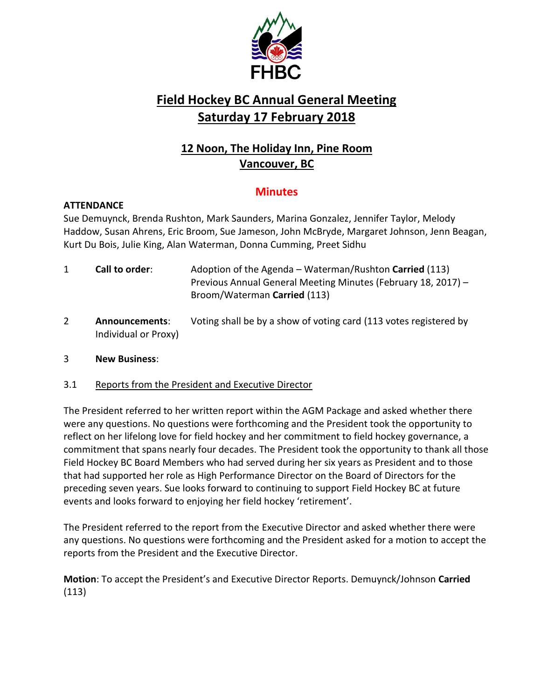

# **Field Hockey BC Annual General Meeting Saturday 17 February 2018**

# **12 Noon, The Holiday Inn, Pine Room Vancouver, BC**

## **Minutes**

#### **ATTENDANCE**

Sue Demuynck, Brenda Rushton, Mark Saunders, Marina Gonzalez, Jennifer Taylor, Melody Haddow, Susan Ahrens, Eric Broom, Sue Jameson, John McBryde, Margaret Johnson, Jenn Beagan, Kurt Du Bois, Julie King, Alan Waterman, Donna Cumming, Preet Sidhu

- 1 **Call to order**: Adoption of the Agenda Waterman/Rushton **Carried** (113) Previous Annual General Meeting Minutes (February 18, 2017) – Broom/Waterman **Carried** (113)
- 2 **Announcements**: Voting shall be by a show of voting card (113 votes registered by Individual or Proxy)

#### 3 **New Business**:

#### 3.1 Reports from the President and Executive Director

The President referred to her written report within the AGM Package and asked whether there were any questions. No questions were forthcoming and the President took the opportunity to reflect on her lifelong love for field hockey and her commitment to field hockey governance, a commitment that spans nearly four decades. The President took the opportunity to thank all those Field Hockey BC Board Members who had served during her six years as President and to those that had supported her role as High Performance Director on the Board of Directors for the preceding seven years. Sue looks forward to continuing to support Field Hockey BC at future events and looks forward to enjoying her field hockey 'retirement'.

The President referred to the report from the Executive Director and asked whether there were any questions. No questions were forthcoming and the President asked for a motion to accept the reports from the President and the Executive Director.

**Motion**: To accept the President's and Executive Director Reports. Demuynck/Johnson **Carried** (113)